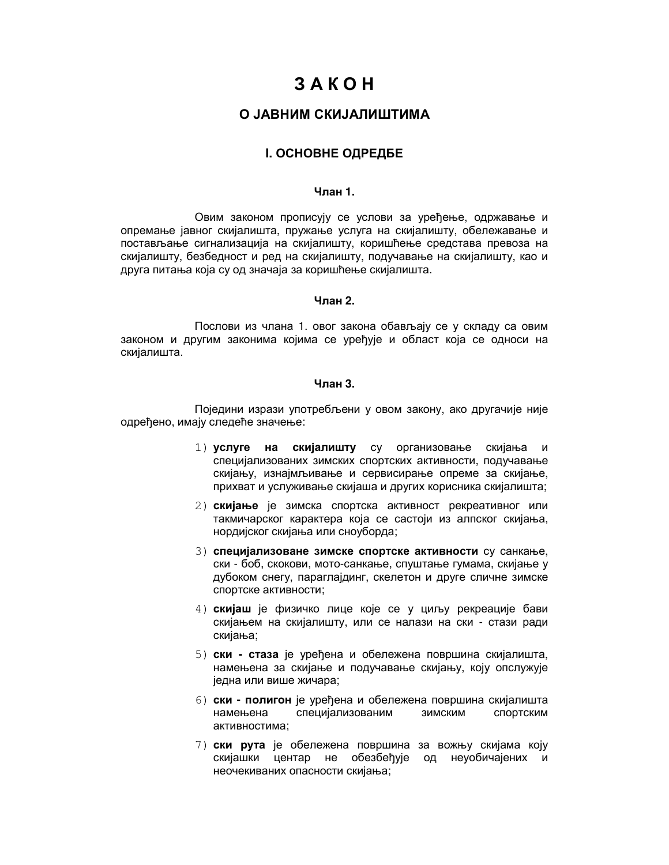# $3AKOH$

# О ЈАВНИМ СКИЈАЛИШТИМА

## **І. ОСНОВНЕ ОДРЕДБЕ**

# $4$ пан $1$

Овим законом прописују се услови за уређење, одржавање и опремање јавног скијалишта, пружање услуга на скијалишту, обележавање и постављање сигнализација на скијалишту, коришћење средстава превоза на скијалишту, безбедност и ред на скијалишту, подучавање на скијалишту, као и друга питања која су од значаја за коришћење скијалишта.

## Члан 2.

Послови из члана 1. овог закона обављају се у складу са овим законом и другим законима којима се уређује и област која се односи на скијалишта.

#### Чпан 3.

Поједини изрази употребљени у овом закону, ако другачије није одређено, имају следеће значење:

- 1) услуге на скијалишту су организовање скијања и специјализованих зимских спортских активности, подучавање скијању, изнајмљивање и сервисирање опреме за скијање, прихват и услуживање скијаша и других корисника скијалишта;
- 2) скијање је зимска спортска активност рекреативног или такмичарског карактера која се састоји из алпског скијања, нордијског скијања или сноуборда;
- 3) специјализоване зимске спортске активности су санкање. ски - боб, скокови, мото-санкање, спуштање гумама, скијање у дубоком снегу, параглајдинг, скелетон и друге сличне зимске спортске активности;
- 4) скијаш је физичко лице које се у циљу рекреације бави скијањем на скијалишту, или се налази на ски - стази ради скијања;
- 5) ски стаза је уређена и обележена површина скијалишта, намењена за скијање и подучавање скијању, коју опслужује једна или више жичара;
- 6) ски полигон је уређена и обележена површина скијалишта намењена специјализованим ЗИМСКИМ спортским активностима;
- 7) ски рута је обележена површина за вожњу скијама коју скијашки центар не обезбеђује од неуобичајених и неочекиваних опасности скијања;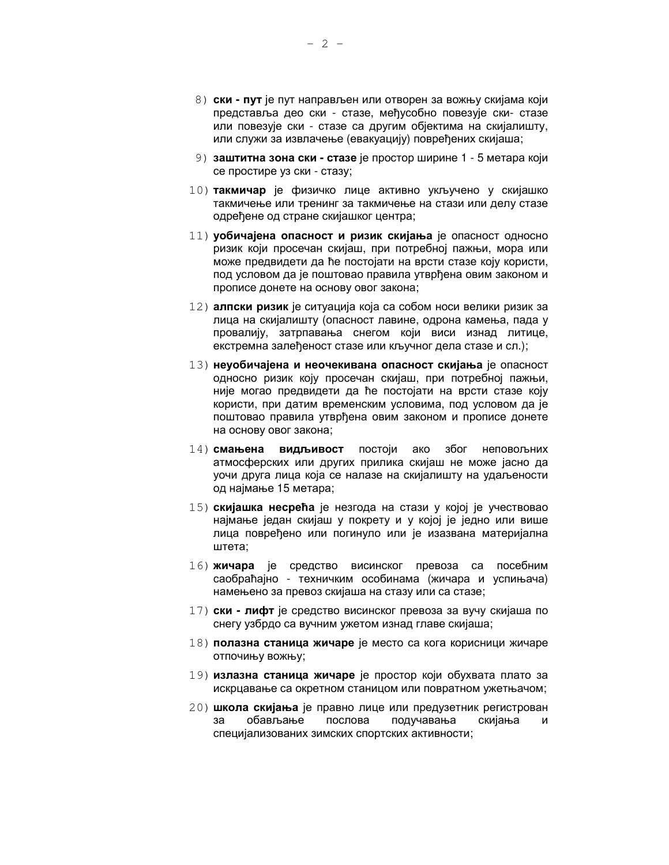- 8) ски пут је пут направљен или отворен за вожњу скијама који представља део ски - стазе, међусобно повезује ски- стазе или повезује ски - стазе са другим објектима на скијалишту, или служи за извлачење (евакуацију) повређених скијаша;
- 9) заштитна зона ски стазе је простор ширине 1 5 метара који се простире уз ски - стазу;
- 10) такмичар је физичко лице активно укључено у скијашко такмичење или тренинг за такмичење на стази или делу стазе одређене од стране скијашког центра;
- 11) уобичајена опасност и ризик скијања је опасност односно ризик који просечан скијаш, при потребној пажњи, мора или може предвидети да ће постојати на врсти стазе коју користи, под условом да је поштовао правила утврђена овим законом и прописе донете на основу овог закона;
- 12) алпски ризик је ситуација која са собом носи велики ризик за лица на скијалишту (опасност лавине, одрона камења, пада у провалију, затрпавања снегом који виси изнад литице, екстремна залеђеност стазе или кључног дела стазе и сл.);
- 13) неуобичајена и неочекивана опасност скијања је опасност односно ризик коју просечан скијаш, при потребној пажњи, није могао предвидети да ће постојати на врсти стазе коју користи, при датим временским условима, под условом да је поштовао правила утврђена овим законом и прописе донете на основу овог закона;
- 14) смањена видљивост постоји ако због неповољних атмосферских или других прилика скијаш не може јасно да уочи друга лица која се налазе на скијалишту на удаљености од најмање 15 метара;
- 15) скијашка несрећа је незгода на стази у којој је учествовао најмање један скијаш у покрету и у којој је једно или више лица повређено или погинуло или је изазвана материјална штета;
- 16) жичара је средство висинског превоза са посебним саобраћајно - техничким особинама (жичара и успињача) намењено за превоз скијаша на стазу или са стазе;
- 17) **ски лифт** је средство висинског превоза за вучу скијаша по снегу узбрдо са вучним ужетом изнад главе скијаша;
- 18) полазна станица жичаре је место са кога корисници жичаре ОТПОЧИЊУ ВОЖЊУ;
- 19) излазна станица жичаре је простор који обухвата плато за искрцавање са окретном станицом или повратном ужетњачом;
- 20) школа скијања је правно лице или предузетник регистрован за обављање послова подучавања скијања И специјализованих зимских спортских активности;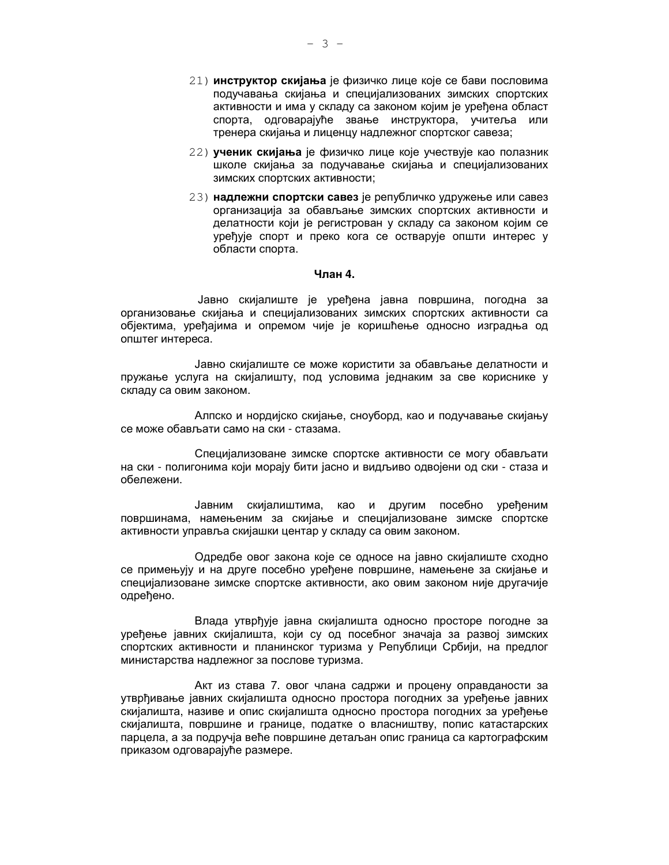- 21) инструктор скијања је физичко лице које се бави пословима подучавања скијања и специјализованих зимских спортских активности и има у складу са законом којим је уређена област спорта, одговарајуће звање инструктора, учитеља или тренера скијања и лиценцу надлежног спортског савеза;
- 22) ученик скијања је физичко лице које учествује као полазник школе скијања за подучавање скијања и специјализованих зимских спортских активности;
- 23) надлежни спортски савез је републичко удружење или савез организација за обављање зимских спортских активности и делатности који је регистрован у складу са законом којим се уређује спорт и преко кога се остварује општи интерес у области спорта.

#### Члан 4.

Јавно скијалиште је уређена јавна површина, погодна за организовање скијања и специјализованих зимских спортских активности са објектима, уређајима и опремом чије је коришћење односно изградња од општег интереса.

Јавно скијалиште се може користити за обављање делатности и пружање услуга на скијалишту, под условима једнаким за све кориснике у складу са овим законом.

Алпско и нордијско скијање, сноуборд, као и подучавање скијању се може обављати само на ски - стазама.

Специјализоване зимске спортске активности се могу обављати на ски - полигонима који морају бити јасно и видљиво одвојени од ски - стаза и обележени.

Јавним скијалиштима, као и другим посебно уређеним површинама, намењеним за скијање и специјализоване зимске спортске активности управља скијашки центар у складу са овим законом.

Одредбе овог закона које се односе на јавно скијалиште сходно се примењују и на друге посебно уређене површине, намењене за скијање и специјализоване зимске спортске активности, ако овим законом није другачије одређено.

Влада утврђује јавна скијалишта односно просторе погодне за уређење јавних скијалишта, који су од посебног значаја за развој зимских спортских активности и планинског туризма у Републици Србији, на предлог министарства надлежног за послове туризма.

Акт из става 7. овог члана садржи и процену оправданости за утврђивање јавних скијалишта односно простора погодних за уређење јавних скијалишта, називе и опис скијалишта односно простора погодних за уређење скијалишта, површине и границе, податке о власништву, попис катастарских парцела, а за подручја веће површине детаљан опис граница са картографским приказом одговарајуће размере.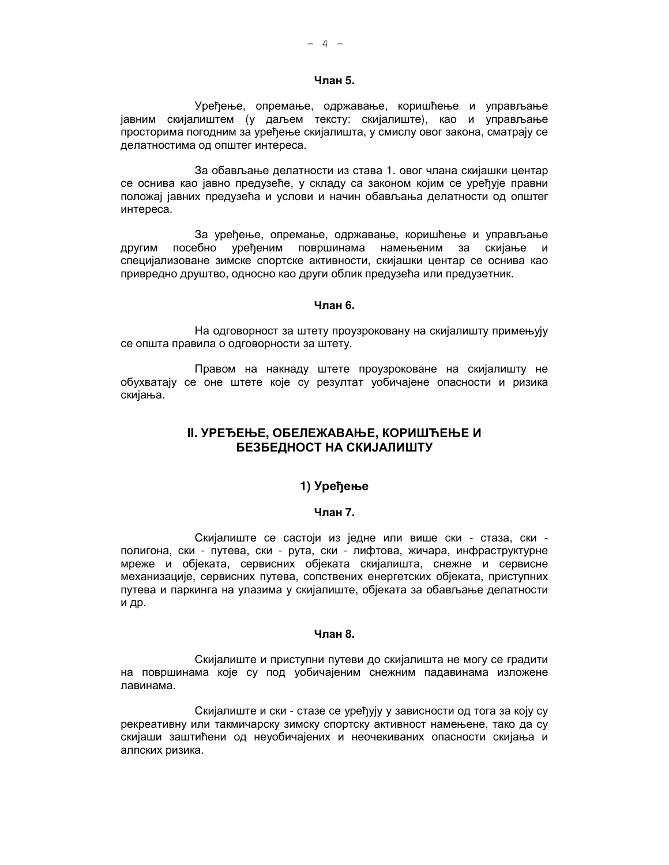## Члан 5.

Уређење, опремање, одржавање, коришћење и управљање јавним скијалиштем (у даљем тексту: скијалиште), као и управљање просторима погодним за уређење скијалишта, у смислу овог закона, сматрају се делатностима од општег интереса.

За обављање делатности из става 1. овог члана скијашки центар се оснива као јавно предузеће, у складу са законом којим се уређује правни положај јавних предузећа и услови и начин обављања делатности од општег интереса.

За уређење, опремање, одржавање, коришћење и управљање другим посебно уређеним површинама намењеним за скијање и специјализоване зимске спортске активности, скијашки центар се оснива као привредно друштво, односно као други облик предузећа или предузетник.

#### Чпан 6.

На одговорност за штету проузроковану на скијалишту примењују се општа правила о одговорности за штету.

Правом на накнаду штете проузроковане на скијалишту не обухватају се оне штете које су резултат уобичајене опасности и ризика скијања.

# **II. УРЕЂЕЊЕ, ОБЕЛЕЖАВАЊЕ, КОРИШЋЕЊЕ И** БЕЗБЕДНОСТ НА СКИЈАЛИШТУ

# 1) Уређење

## Члан 7.

Скијалиште се састоји из једне или више ски - стаза, ски полигона, ски - путева, ски - рута, ски - лифтова, жичара, инфраструктурне мреже и објеката, сервисних објеката скијалишта, снежне и сервисне механизације, сервисних путева, сопствених енергетских објеката, приступних путева и паркинга на улазима у скијалиште, објеката за обављање делатности и др.

#### Члан 8.

Скијалиште и приступни путеви до скијалишта не могу се градити на површинама које су под уобичајеним снежним падавинама изложене лавинама.

Скијалиште и ски - стазе се уређују у зависности од тога за коју су рекреативну или такмичарску зимску спортску активност намењене, тако да су скијаши заштићени од неуобичајених и неочекиваних опасности скијања и алпских ризика.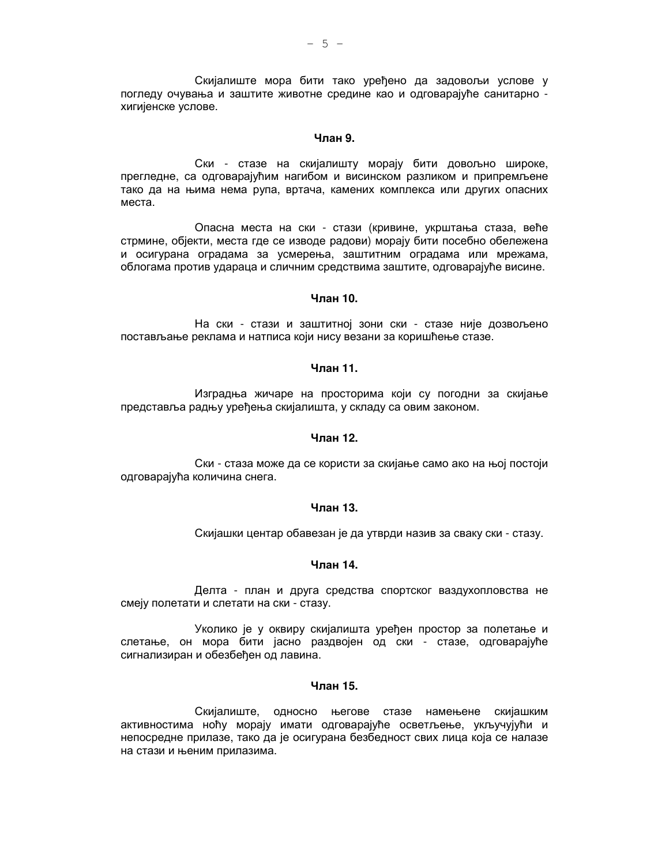Скијалиште мора бити тако уређено да задовољи услове у погледу очувања и заштите животне средине као и одговарајуће санитарно хигијенске услове.

## Члан 9.

Ски - стазе на скијалишту морају бити довољно широке, прегледне, са одговарајућим нагибом и висинском разликом и припремљене тако да на њима нема рупа, вртача, камених комплекса или других опасних места.

Опасна места на ски - стази (кривине, укрштања стаза, веће стрмине, објекти, места где се изводе радови) морају бити посебно обележена и осигурана оградама за усмерења, заштитним оградама или мрежама, облогама против удараца и сличним средствима заштите, одговарајуће висине.

#### Члан 10.

На ски - стази и заштитној зони ски - стазе није дозвољено постављање реклама и натписа који нису везани за коришћење стазе.

## Члан 11.

Изградња жичаре на просторима који су погодни за скијање представља радњу уређења скијалишта, у складу са овим законом.

## Члан 12.

Ски - стаза може да се користи за скијање само ако на њој постоји одговарајућа количина снега.

#### Члан 13.

Скијашки центар обавезан је да утврди назив за сваку ски - стазу.

## Члан 14.

Делта - план и друга средства спортског ваздухопловства не смеју полетати и слетати на ски - стазу.

Уколико је у оквиру скијалишта уређен простор за полетање и слетање, он мора бити јасно раздвојен од ски - стазе, одговарајуће сигнализиран и обезбеђен од лавина.

#### Члан 15.

Скијалиште, односно његове стазе намењене скијашким активностима ноћу морају имати одговарајуће осветљење, укључујући и непосредне прилазе, тако да је осигурана безбедност свих лица која се налазе на стази и њеним прилазима.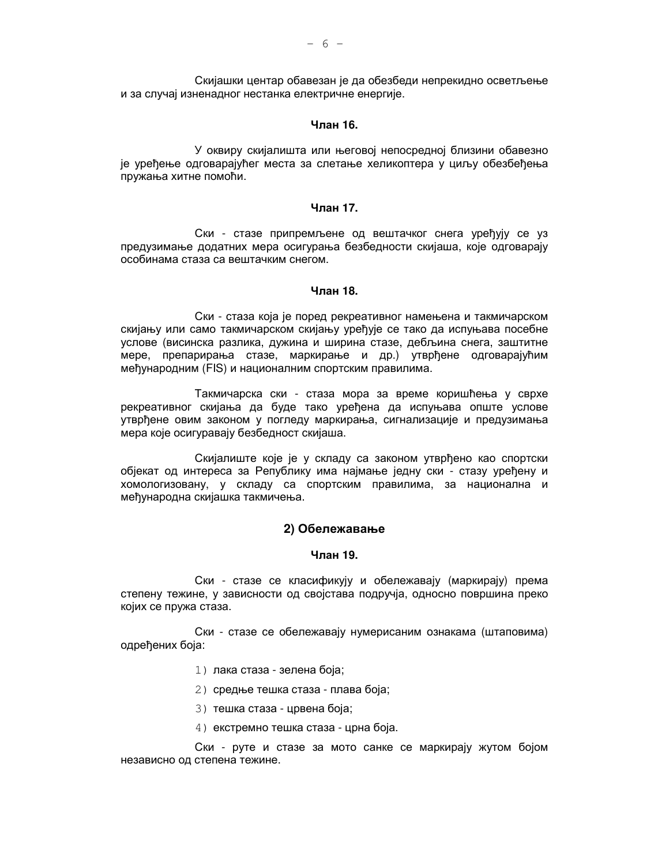Скијашки центар обавезан је да обезбеди непрекидно осветљење и за случај изненадног нестанка електричне енергије.

## Чпан 16.

У оквиру скијалишта или његовој непосредној близини обавезно је урећење одговарајућег места за слетање хеликоптера у циљу обезбеђења пружања хитне помоћи.

#### Члан 17.

Ски - стазе припремљене од вештачког снега уређују се уз предузимање додатних мера осигурања безбедности скијаша, које одговарају особинама стаза са вештачким снегом.

## Члан 18.

Ски - стаза која је поред рекреативног намењена и такмичарском скијању или само такмичарском скијању уређује се тако да испуњава посебне услове (висинска разлика, дужина и ширина стазе, дебљина снега, заштитне мере, препарирања стазе, маркирање и др.) утврђене одговарајућим међународним (FIS) и националним спортским правилима.

Такмичарска ски - стаза мора за време коришћења у сврхе рекреативног скијања да буде тако уређена да испуњава опште услове утврђене овим законом у погледу маркирања, сигнализације и предузимања мера које осигуравају безбедност скијаша.

Скијалиште које је у складу са законом утврђено као спортски објекат од интереса за Републику има најмање једну ски - стазу уређену и хомологизовану, у складу са спортским правилима, за национална и међународна скијашка такмичења.

## 2) Обележавање

## Члан 19.

Ски - стазе се класификују и обележавају (маркирају) према степену тежине, у зависности од својстава подручја, односно површина преко којих се пружа стаза.

Ски - стазе се обележавају нумерисаним ознакама (штаповима) одређених боја:

- 1) лака стаза зелена боја;
- 2) средње тешка стаза плава боја;
- 3) тешка стаза црвена боја;
- 4) екстремно тешка стаза црна боја.

Ски - руте и стазе за мото санке се маркирају жутом бојом независно од степена тежине.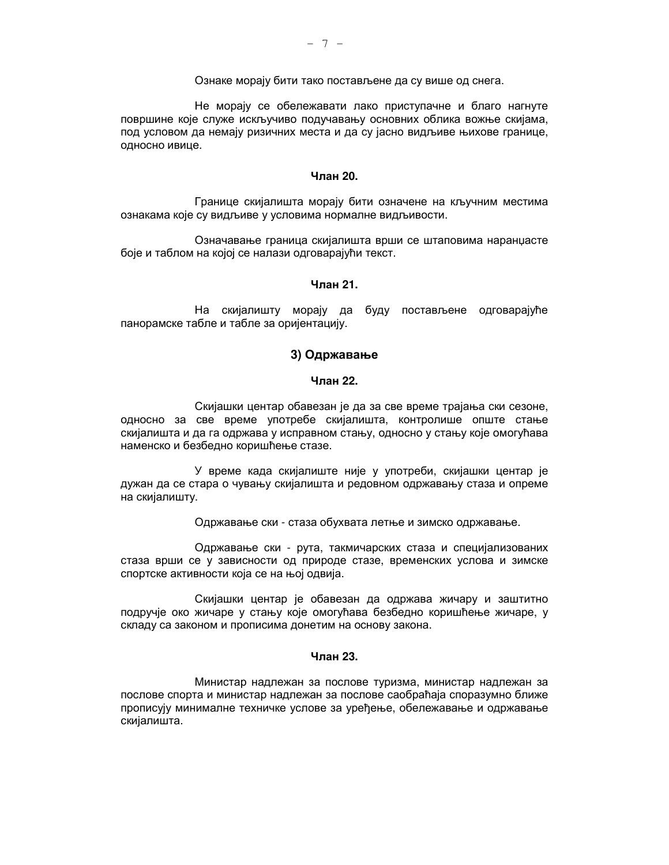Ознаке морају бити тако постављене да су више од снега.

Не морају се обележавати лако приступачне и благо нагнуте површине које служе искључиво подучавању основних облика вожње скијама, под условом да немају ризичних места и да су јасно видљиве њихове границе, односно ивице.

#### Чпан 20.

Границе скијалишта морају бити означене на кључним местима ознакама које су видљиве у условима нормалне видљивости.

Означавање граница скијалишта врши се штаповима наранџасте боје и таблом на којој се налази одговарајући текст.

## Чпан 21.

На скијалишту морају да буду постављене одговарајуће панорамске табле и табле за оријентацију.

## 3) Одржавање

## Члан 22.

Скијашки центар обавезан је да за све време трајања ски сезоне, односно за све време употребе скијалишта, контролише опште стање скијалишта и да га одржава у исправном стању, односно у стању које омогућава наменско и безбедно коришћење стазе.

У време када скијалиште није у употреби, скијашки центар је дужан да се стара о чувању скијалишта и редовном одржавању стаза и опреме на скијалишту.

Одржавање ски - стаза обухвата летње и зимско одржавање.

Одржавање ски - рута, такмичарских стаза и специјализованих стаза врши се у зависности од природе стазе, временских услова и зимске спортске активности која се на њој одвија.

Скијашки центар је обавезан да одржава жичару и заштитно подручје око жичаре у стању које омогућава безбедно коришћење жичаре, у складу са законом и прописима донетим на основу закона.

## Члан 23.

Министар надлежан за послове туризма, министар надлежан за послове спорта и министар надлежан за послове саобраћаја споразумно ближе прописују минималне техничке услове за уређење, обележавање и одржавање скијалишта.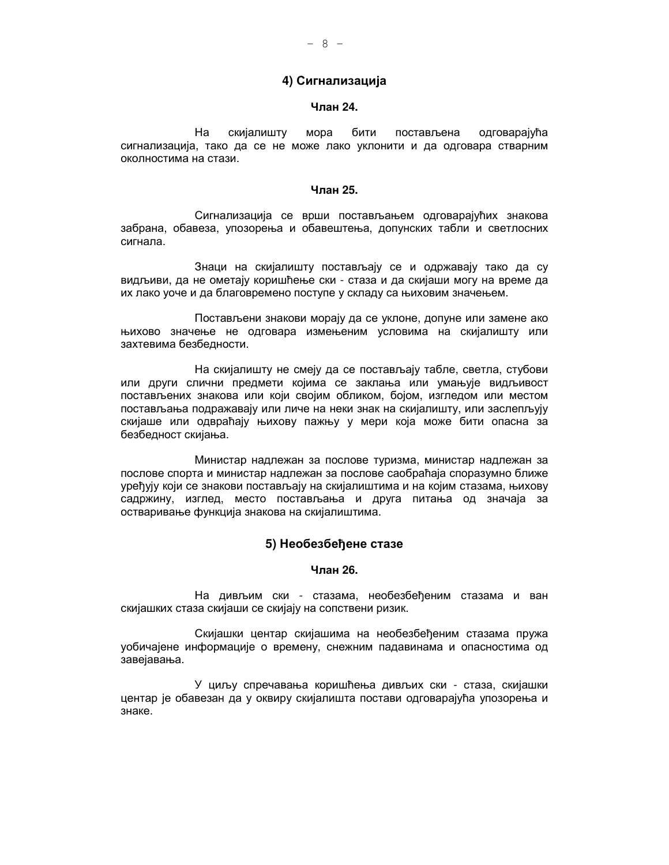## 4) Сигнализација

## Члан 24.

скијалишту MODa бити Ha постављена одговарајућа сигнализација, тако да се не може лако уклонити и да одговара стварним околностима на стази.

#### Члан 25.

Сигнализација се врши постављањем одговарајућих знакова забрана, обавеза, упозорења и обавештења, допунских табли и светлосних сигнала.

Знаци на скијалишту постављају се и одржавају тако да су видљиви, да не ометају коришћење ски - стаза и да скијаши могу на време да их лако уоче и да благовремено поступе у складу са њиховим значењем.

Постављени знакови морају да се уклоне, допуне или замене ако њихово значење не одговара измењеним условима на скијалишту или захтевима безбедности.

На скијалишту не смеју да се постављају табле, светла, стубови или други слични предмети којима се заклања или умањује видљивост постављених знакова или који својим обликом, бојом, изгледом или местом постављања подражавају или личе на неки знак на скијалишту, или заслепљују скијаше или одвраћају њихову пажњу у мери која може бити опасна за безбедност скијања.

Министар надлежан за послове туризма, министар надлежан за послове спорта и министар надлежан за послове саобраћаја споразумно ближе уређују који се знакови постављају на скијалиштима и на којим стазама, њихову садржину, изглед, место постављања и друга питања од значаја за остваривање функција знакова на скијалиштима.

## 5) Необезбеђене стазе

## Члан 26.

На дивљим ски - стазама, необезбеђеним стазама и ван скијашких стаза скијаши се скијају на сопствени ризик.

Скијашки центар скијашима на необезбеђеним стазама пружа уобичајене информације о времену, снежним падавинама и опасностима од завејавања.

У циљу спречавања коришћења дивљих ски - стаза, скијашки центар је обавезан да у оквиру скијалишта постави одговарајућа упозорења и знаке.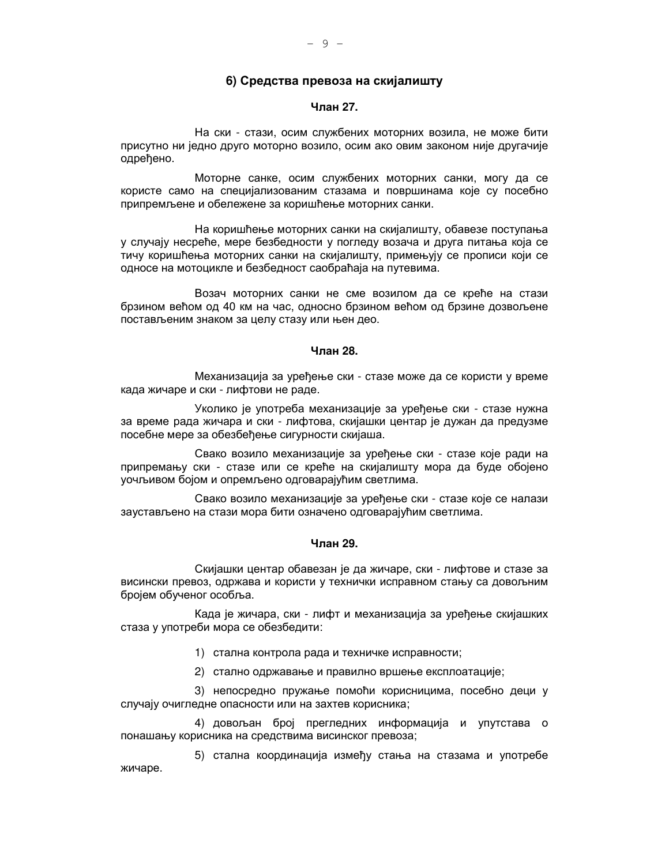## 6) Средства превоза на скијалишту

## Члан 27.

На ски - стази, осим службених моторних возила, не може бити присутно ни једно друго моторно возило, осим ако овим законом није другачије одрећено.

Моторне санке, осим службених моторних санки, могу да се користе само на специјализованим стазама и површинама које су посебно припремљене и обележене за коришћење моторних санки.

На коришћење моторних санки на скијалишту, обавезе поступања у случају несреће, мере безбедности у погледу возача и друга питања која се тичу коришћења моторних санки на скијалишту, примењују се прописи који се односе на мотоцикле и безбедност саобраћаја на путевима.

Возач моторних санки не сме возилом да се креће на стази брзином већом од 40 км на час, односно брзином већом од брзине дозвољене постављеним знаком за целу стазу или њен део.

## Члан 28.

Механизација за уређење ски - стазе може да се користи у време када жичаре и ски - лифтови не раде.

Уколико је употреба механизације за уређење ски - стазе нужна за време рада жичара и ски - лифтова, скијашки центар је дужан да предузме посебне мере за обезбећење сигурности скијаша.

Свако возило механизације за уређење ски - стазе које ради на припремању ски - стазе или се креће на скијалишту мора да буде обојено уочљивом бојом и опремљено одговарајућим светлима.

Свако возило механизације за уређење ски - стазе које се налази заустављено на стази мора бити означено одговарајућим светлима.

#### Члан 29.

Скијашки центар обавезан је да жичаре, ски - лифтове и стазе за висински превоз, одржава и користи у технички исправном стању са довољним бројем обученог особља.

Када је жичара, ски - лифт и механизација за уређење скијашких стаза у употреби мора се обезбедити:

1) стална контрола рада и техничке исправности;

2) стално одржавање и правилно вршење експлоатације;

3) непосредно пружање помоћи корисницима, посебно деци у случају очигледне опасности или на захтев корисника;

4) довољан број прегледних информација и упутстава о понашању корисника на средствима висинског превоза;

5) стална координација између стања на стазама и употребе жичаре.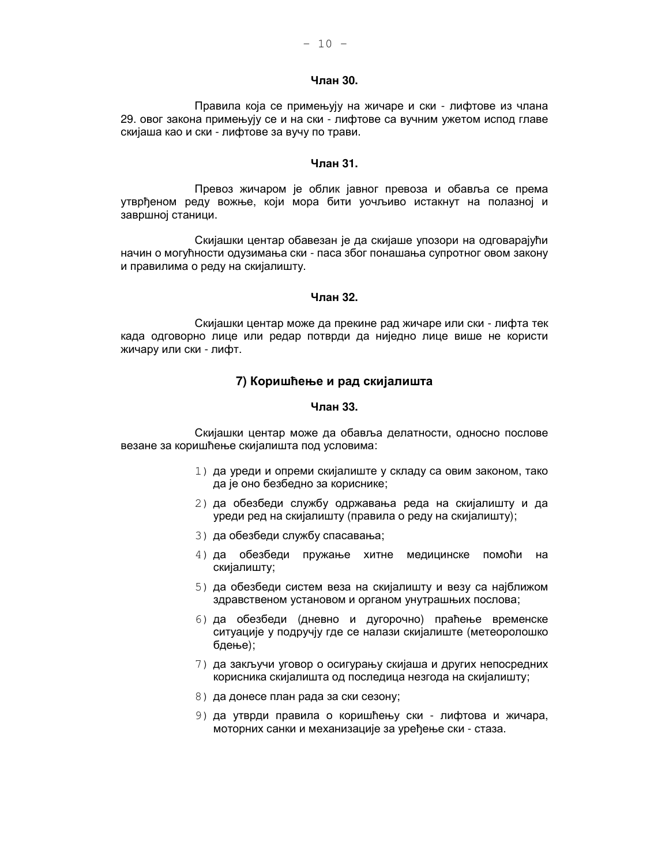# Члан 30.

Правила која се примењују на жичаре и ски - лифтове из члана 29. овог закона примењују се и на ски - лифтове са вучним ужетом испод главе скијаша као и ски - лифтове за вучу по трави.

## Члан 31.

Превоз жичаром је облик јавног превоза и обавља се према утврђеном реду вожње, који мора бити уочљиво истакнут на полазној и завршној станици.

Скијашки центар обавезан је да скијаше упозори на одговарајући начин о могућности одузимања ски - паса због понашања супротног овом закону и правилима о реду на скијалишту.

#### Члан 32.

Скијашки центар може да прекине рад жичаре или ски - лифта тек када одговорно лице или редар потврди да ниједно лице више не користи жичару или ски - лифт.

## 7) Коришћење и рад скијалишта

#### Члан 33.

Скијашки центар може да обавља делатности, односно послове везане за коришћење скијалишта под условима:

- 1) да уреди и опреми скијалиште у складу са овим законом, тако да је оно безбедно за кориснике;
- 2) да обезбеди службу одржавања реда на скијалишту и да уреди ред на скијалишту (правила о реду на скијалишту);
- 3) да обезбеди службу спасавања;
- 4) да обезбеди пружање хитне медицинске помоћи на скијалишту;
- 5) да обезбеди систем веза на скијалишту и везу са најближом здравственом установом и органом унутрашњих послова;
- 6) да обезбеди (дневно и дугорочно) праћење временске ситуације у подручју где се налази скијалиште (метеоролошко бдење);
- 7) да закључи уговор о осигурању скијаша и других непосредних корисника скијалишта од последица незгода на скијалишту;
- 8) да донесе план рада за ски сезону;
- 9) да утврди правила о коришћењу ски лифтова и жичара, моторних санки и механизације за уређење ски - стаза.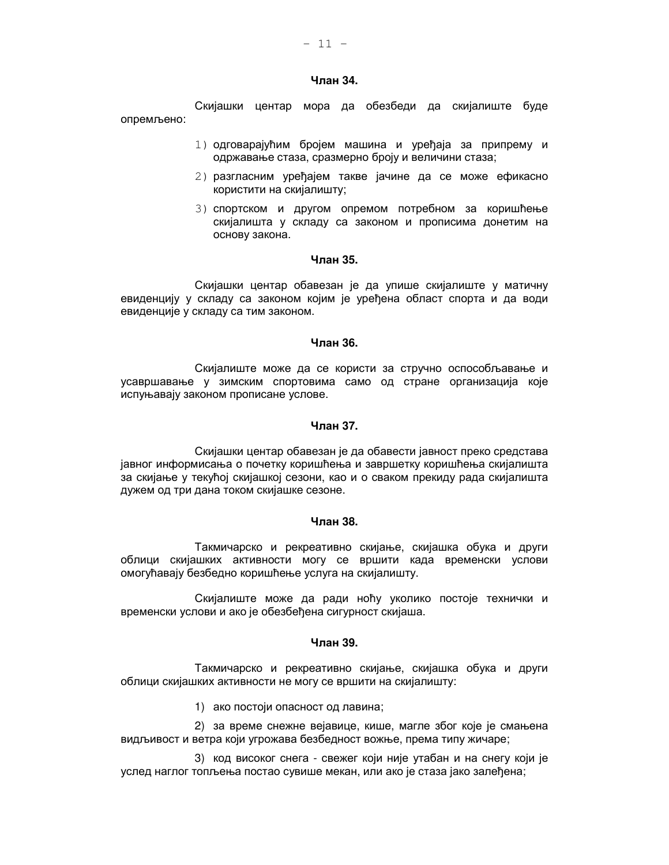#### Члан 34.

Скијашки центар мора да обезбеди да скијалиште буде опремљено:

- 1) одговарајућим бројем машина и уређаја за припрему и одржавање стаза, сразмерно броју и величини стаза;
- 2) разгласним урећајем такве јачине да се може ефикасно користити на скијалишту;
- 3) спортском и другом опремом потребном за коришћење скијалишта у складу са законом и прописима донетим на основу закона.

## Члан 35.

Скијашки центар обавезан је да упише скијалиште у матичну евиденцију у складу са законом којим је уређена област спорта и да води евиденције у складу са тим законом.

### Члан 36.

Скијалиште може да се користи за стручно оспособљавање и усавршавање у зимским спортовима само од стране организација које испуњавају законом прописане услове.

## Члан 37.

Скијашки центар обавезан је да обавести јавност преко средстава јавног информисања о почетку коришћења и завршетку коришћења скијалишта за скијање у текућој скијашкој сезони, као и о сваком прекиду рада скијалишта дужем од три дана током скијашке сезоне.

## Члан 38.

Такмичарско и рекреативно скијање, скијашка обука и други облици скијашких активности могу се вршити када временски услови омогућавају безбедно коришћење услуга на скијалишту.

Скијалиште може да ради ноћу уколико постоје технички и временски услови и ако је обезбеђена сигурност скијаша.

## Члан 39.

Такмичарско и рекреативно скијање, скијашка обука и други облици скијашких активности не могу се вршити на скијалишту:

1) ако постоји опасност од лавина;

2) за време снежне вејавице, кише, магле због које је смањена видљивост и ветра који угрожава безбедност вожње, према типу жичаре;

3) код високог снега - свежег који није утабан и на снегу који је услед наглог топљења постао сувише мекан, или ако је стаза јако залеђена;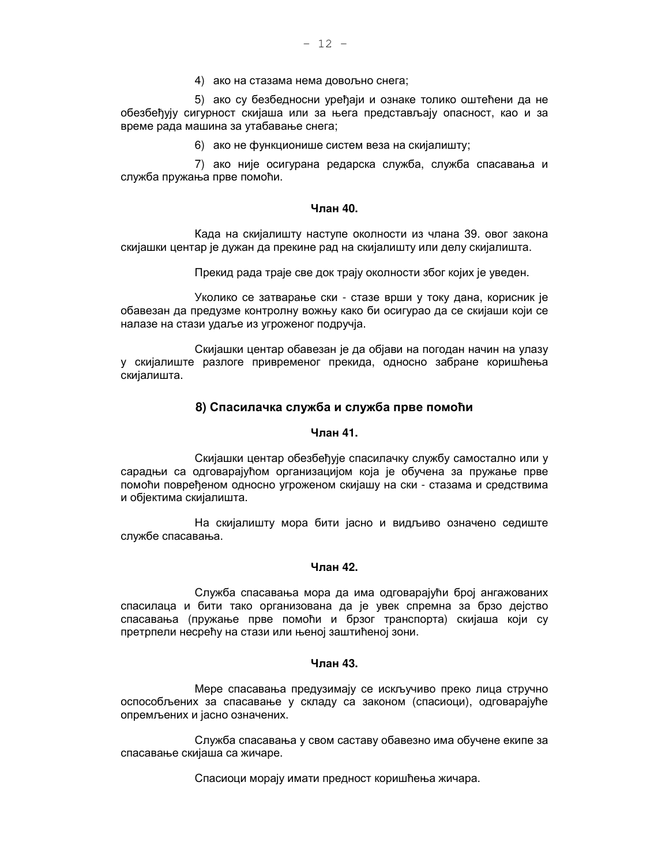4) ако на стазама нема довољно снега;

5) ако су безбедносни уређаји и ознаке толико оштећени да не обезбеђују сигурност скијаша или за њега представљају опасност, као и за време рада машина за утабавање снега;

6) ако не функционише систем веза на скијалишту;

7) ако није осигурана редарска служба, служба спасавања и служба пружања прве помоћи.

#### Члан 40.

Када на скијалишту наступе околности из члана 39. овог закона скијашки центар је дужан да прекине рад на скијалишту или делу скијалишта.

Прекид рада траје све док трају околности због којих је уведен.

Уколико се затварање ски - стазе врши у току дана, корисник је обавезан да предузме контролну вожњу како би осигурао да се скијаши који се налазе на стази удаље из угроженог подручја.

Скијашки центар обавезан је да објави на погодан начин на улазу у скијалиште разлоге привременог прекида, односно забране коришћења скијалишта.

## 8) Спасилачка служба и служба прве помоћи

## Члан 41.

Скијашки центар обезбеђује спасилачку службу самостално или у сарадњи са одговарајућом организацијом која је обучена за пружање прве помоћи повређеном односно угроженом скијашу на ски - стазама и средствима и објектима скијалишта.

На скијалишту мора бити јасно и видљиво означено седиште службе спасавања.

## Члан 42.

Служба спасавања мора да има одговарајући број ангажованих спасилаца и бити тако организована да је увек спремна за брзо дејство спасавања (пружање прве помоћи и брзог транспорта) скијаша који су претрпели несрећу на стази или њеној заштићеној зони.

#### Члан 43.

Мере спасавања предузимају се искључиво преко лица стручно оспособљених за спасавање у складу са законом (спасиоци), одговарајуће опремљених и јасно означених.

Служба спасавања у свом саставу обавезно има обучене екипе за спасавање скијаша са жичаре.

Спасиоци морају имати предност коришћења жичара.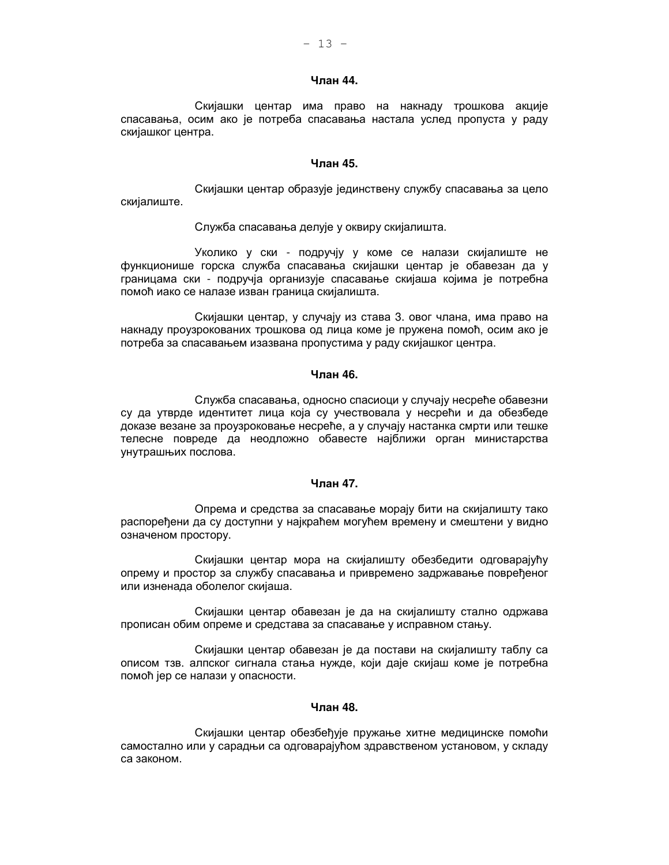## Члан 44.

Скијашки центар има право на накнаду трошкова акције спасавања, осим ако је потреба спасавања настала услед пропуста у раду скијашког центра.

## Члан 45.

Скијашки центар образује јединствену службу спасавања за цело скијалиште.

#### Служба спасавања делује у оквиру скијалишта.

Уколико у ски - подручју у коме се налази скијалиште не функционише горска служба спасавања скијашки центар је обавезан да у границама ски - подручја организује спасавање скијаша којима је потребна помоћ иако се налазе изван граница скијалишта.

Скијашки центар, у случају из става 3. овог члана, има право на накнаду проузрокованих трошкова од лица коме је пружена помоћ, осим ако је потреба за спасавањем изазвана пропустима у раду скијашког центра.

## Члан 46.

Служба спасавања, односно спасиоци у случају несреће обавезни су да утврде идентитет лица која су учествовала у несрећи и да обезбеде доказе везане за проузроковање несреће, а у случају настанка смрти или тешке телесне повреде да неодложно обавесте најближи орган министарства унутрашњих послова.

## Члан 47.

Опрема и средства за спасавање морају бити на скијалишту тако распоређени да су доступни у најкраћем могућем времену и смештени у видно означеном простору.

Скијашки центар мора на скијалишту обезбедити одговарајућу опрему и простор за службу спасавања и привремено задржавање поврећеног или изненада оболелог скијаша.

Скијашки центар обавезан је да на скијалишту стално одржава прописан обим опреме и средстава за спасавање у исправном стању.

Скијашки центар обавезан је да постави на скијалишту таблу са описом тзв. алпског сигнала стања нужде, који даје скијаш коме је потребна помоћ јер се налази у опасности.

#### Чпан 48.

Скијашки центар обезбеђује пружање хитне медицинске помоћи самостално или у сарадњи са одговарајућом здравственом установом, у складу са законом.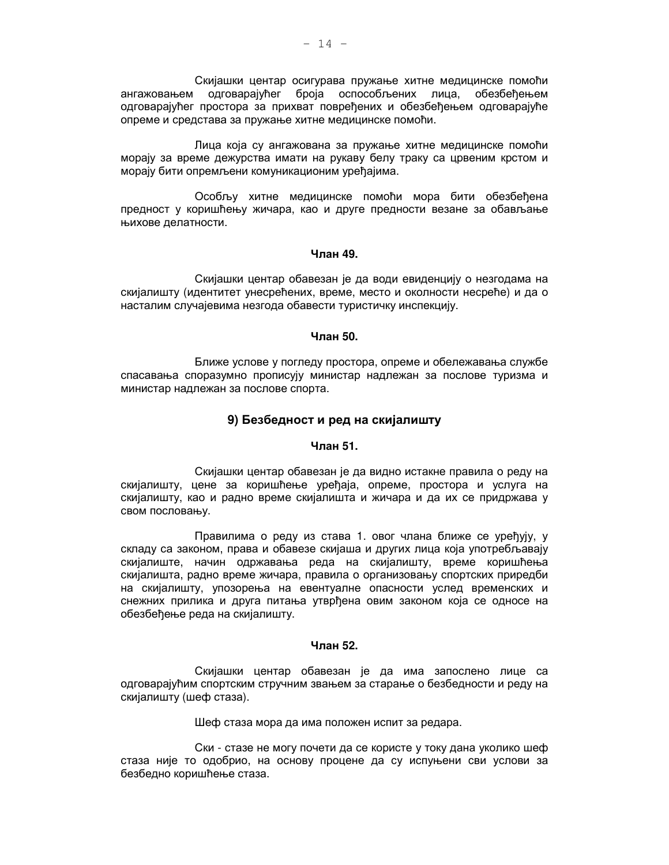Скијашки центар осигурава пружање хитне медицинске помоћи ангажовањем одговарајућег броја оспособљених лица, обезбећењем одговарајућег простора за прихват повређених и обезбеђењем одговарајуће опреме и средстава за пружање хитне медицинске помоћи.

Лица која су ангажована за пружање хитне медицинске помоћи морају за време дежурства имати на рукаву белу траку са црвеним крстом и морају бити опремљени комуникационим уређајима.

Особљу хитне медицинске помоћи мора бити обезбећена предност у коришћењу жичара, као и друге предности везане за обављање њихове делатности.

#### Члан 49.

Скијашки центар обавезан је да води евиденцију о незгодама на скијалишту (идентитет унесрећених, време, место и околности несреће) и да о насталим случајевима незгода обавести туристичку инспекцију.

## Члан 50.

Ближе услове у погледу простора, опреме и обележавања службе спасавања споразумно прописују министар надлежан за послове туризма и министар надлежан за послове спорта.

## 9) Безбедност и ред на скијалишту

## Члан 51.

Скијашки центар обавезан је да видно истакне правила о реду на скијалишту, цене за коришћење уређаја, опреме, простора и услуга на скијалишту, као и радно време скијалишта и жичара и да их се придржава у свом пословању.

Правилима о реду из става 1. овог члана ближе се уређују, у складу са законом, права и обавезе скијаша и других лица која употребљавају скијалиште, начин одржавања реда на скијалишту, време коришћења скијалишта, радно време жичара, правила о организовању спортских приредби на скијалишту, упозорења на евентуалне опасности услед временских и снежних прилика и друга питања утврђена овим законом која се односе на обезбећење реда на скијалишту.

## Члан 52.

Скијашки центар обавезан је да има запослено лице са одговарајућим спортским стручним звањем за старање о безбедности и реду на скијалишту (шеф стаза).

Шеф стаза мора да има положен испит за редара.

Ски - стазе не могу почети да се користе у току дана уколико шеф стаза није то одобрио, на основу процене да су испуњени сви услови за безбедно коришћење стаза.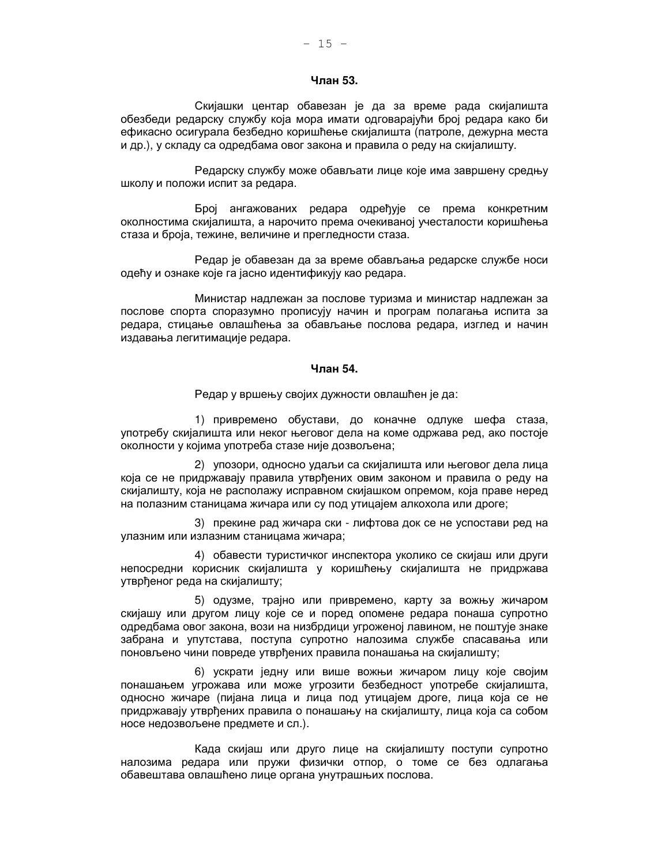## Члан 53.

Скијашки центар обавезан је да за време рада скијалишта обезбеди редарску службу која мора имати одговарајући број редара како би ефикасно осигурала безбедно коришћење скијалишта (патроле, дежурна места и др.), у складу са одредбама овог закона и правила о реду на скијалишту.

Редарску службу може обављати лице које има завршену средњу школу и положи испит за редара.

Број ангажованих редара одређује се према конкретним околностима скијалишта, а нарочито према очекиваној учесталости коришћења стаза и броја, тежине, величине и прегледности стаза.

Редар је обавезан да за време обављања редарске службе носи одећу и ознаке које га јасно идентификују као редара.

Министар надлежан за послове туризма и министар надлежан за послове спорта споразумно прописују начин и програм полагања испита за редара, стицање овлашћења за обављање послова редара, изглед и начин издавања легитимације редара.

#### Чпан 54.

Редар у вршењу својих дужности овлашћен је да:

1) привремено обустави, до коначне одлуке шефа стаза, употребу скијалишта или неког његовог дела на коме одржава ред, ако постоје околности у којима употреба стазе није дозвољена;

2) упозори, односно удаљи са скијалишта или његовог дела лица која се не придржавају правила утврђених овим законом и правила о реду на скијалишту, која не располажу исправном скијашком опремом, која праве неред на полазним станицама жичара или су под утицајем алкохола или дроге;

3) прекине рад жичара ски - лифтова док се не успостави ред на улазним или излазним станицама жичара;

4) обавести туристичког инспектора уколико се скијаш или други непосредни корисник скијалишта у коришћењу скијалишта не придржава утврђеног реда на скијалишту;

5) одузме, трајно или привремено, карту за вожњу жичаром скијашу или другом лицу које се и поред опомене редара понаша супротно одредбама овог закона, вози на низбрдици угроженој лавином, не поштује знаке забрана и упутстава, поступа супротно налозима службе спасавања или поновљено чини повреде утврђених правила понашања на скијалишту;

6) ускрати једну или више вожњи жичаром лицу које својим понашањем угрожава или може угрозити безбедност употребе скијалишта, односно жичаре (пијана лица и лица под утицајем дроге, лица која се не придржавају утврђених правила о понашању на скијалишту, лица која са собом носе недозвољене предмете и сл.).

Када скијаш или друго лице на скијалишту поступи супротно налозима редара или пружи физички отпор, о томе се без одлагања обавештава овлашћено лице органа унутрашњих послова.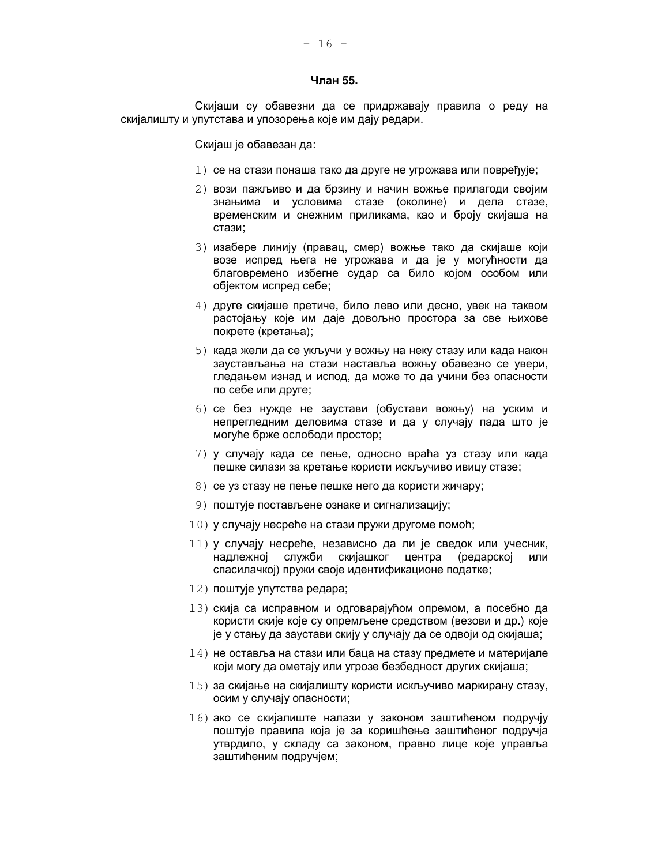#### Члан 55.

Скијаши су обавезни да се придржавају правила о реду на скијалишту и упутстава и упозорења које им дају редари.

Скијаш је обавезан да:

- 1) се на стази понаша тако да друге не угрожава или повређује;
- 2) вози пажљиво и да брзину и начин вожње прилагоди својим знањима и условима стазе (околине) и дела стазе, временским и снежним приликама, као и броју скијаша на стази:
- 3) изабере линију (правац, смер) вожње тако да скијаше који возе испред њега не угрожава и да је у могућности да благовремено избегне судар са било којом особом или објектом испред себе;
- 4) друге скијаше претиче, било лево или десно, увек на таквом растојању које им даје довољно простора за све њихове покрете (кретања);
- 5) када жели да се укључи у вожњу на неку стазу или када након заустављања на стази наставља вожњу обавезно се увери, гледањем изнад и испод, да може то да учини без опасности по себе или друге;
- 6) се без нужде не заустави (обустави вожњу) на уским и непрегледним деловима стазе и да у случају пада што је могуће брже ослободи простор;
- 7) у случају када се пење, односно враћа уз стазу или када пешке силази за кретање користи искључиво ивицу стазе;
- 8) се уз стазу не пење пешке него да користи жичару;
- 9) поштује постављене ознаке и сигнализацију;
- 10) у случају несреће на стази пружи другоме помоћ;
- 11) у случају несреће, независно да ли је сведок или учесник, надлежноі слvжби скијашког центра (редарској или спасилачкој) пружи своје идентификационе податке;
- 12) поштује упутства редара;
- 13) скија са исправном и одговарајућом опремом, а посебно да користи скије које су опремљене средством (везови и др.) које је у стању да заустави скију у случају да се одвоји од скијаша;
- 14) не оставља на стази или баца на стазу предмете и материјале који могу да ометају или угрозе безбедност других скијаша;
- 15) за скијање на скијалишту користи искључиво маркирану стазу, осим у случају опасности;
- $16$ ) ако се скијалиште налази у законом заштићеном подручју поштује правила која је за коришћење заштићеног подручја утврдило, у складу са законом, правно лице које управља заштићеним подручјем;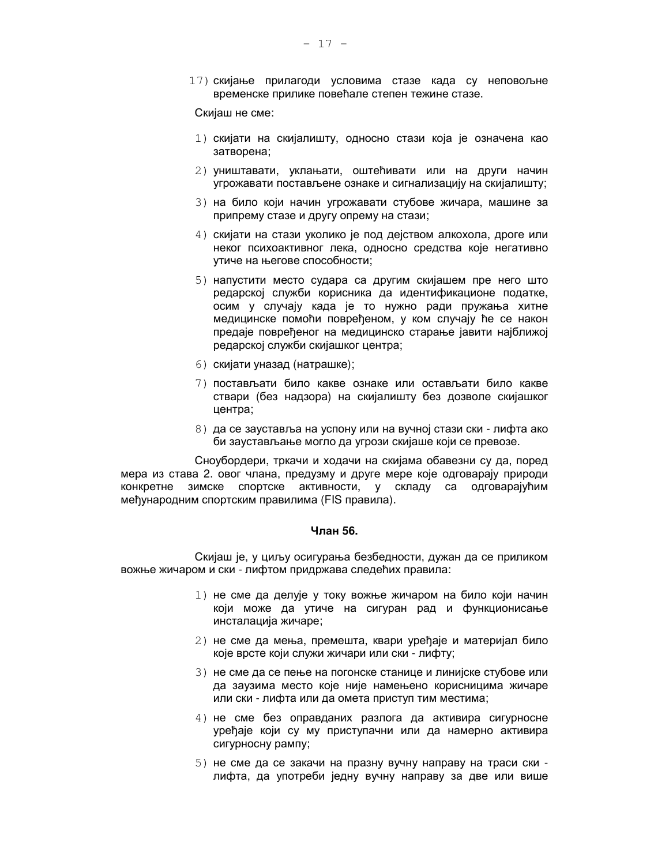17) скијање прилагоди условима стазе када су неповољне временске прилике повећале степен тежине стазе.

Скијаш не сме:

- 1) скијати на скијалишту, односно стази која је означена као затворена;
- 2) уништавати, уклањати, оштећивати или на други начин угрожавати постављене ознаке и сигнализацију на скијалишту;
- 3) на било који начин угрожавати стубове жичара, машине за припрему стазе и другу опрему на стази;
- 4) скијати на стази уколико је под дејством алкохола, дроге или неког психоактивног лека, односно средства које негативно утиче на његове способности;
- 5) напустити место судара са другим скијашем пре него што редарској служби корисника да идентификационе податке, осим у случају када је то нужно ради пружања хитне медицинске помоћи повређеном, у ком случају ће се након предаје повређеног на медицинско старање јавити најближој редарској служби скијашког центра;
- 6) скијати уназад (натрашке);
- 7) постављати било какве ознаке или остављати било какве ствари (без надзора) на скијалишту без дозволе скијашког центра;
- 8) да се зауставља на успону или на вучној стази ски лифта ако би заустављање могло да угрози скијаше који се превозе.

Сноубордери, тркачи и ходачи на скијама обавезни су да, поред мера из става 2. овог члана, предузму и друге мере које одговарају природи конкретне зимске спортске активности, у складу са одговарајућим међународним спортским правилима (FIS правила).

# Члан 56.

Скијаш је, у циљу осигурања безбедности, дужан да се приликом вожње жичаром и ски - лифтом придржава следећих правила:

- 1) не сме да делује у току вожње жичаром на било који начин који може да утиче на сигуран рад и функционисање инсталација жичаре;
- 2) не сме да мења, премешта, квари урећаје и материјал било које врсте који служи жичари или ски - лифту;
- 3) не сме да се пење на погонске станице и линијске стубове или да заузима место које није намењено корисницима жичаре или ски - лифта или да омета приступ тим местима;
- 4) не сме без оправданих разлога да активира сигурносне уређаје који су му приступачни или да намерно активира сигурносну рампу;
- 5) не сме да се закачи на празну вучну направу на траси ски лифта, да употреби једну вучну направу за две или више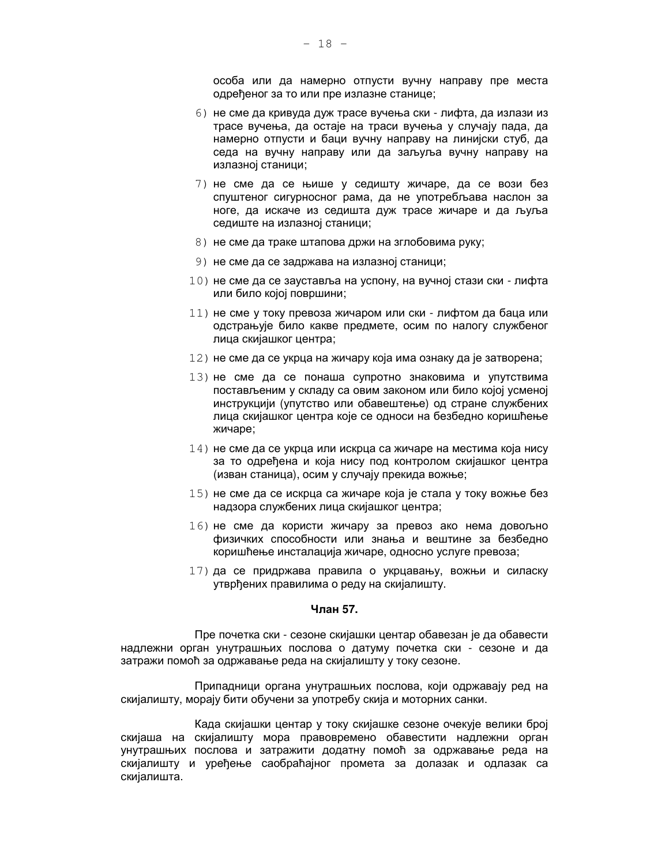особа или да намерно отпусти вучну направу пре места одређеног за то или пре излазне станице;

- 6) не сме да кривуда дуж трасе вучења ски лифта, да излази из трасе вучења, да остаје на траси вучења у случају пада, да намерно отпусти и баци вучну направу на линијски стуб, да седа на вучну направу или да заљуља вучну направу на излазној станици;
- 7) не сме да се њише у седишту жичаре, да се вози без спуштеног сигурносног рама, да не употребљава наслон за ноге, да искаче из седишта дуж трасе жичаре и да љуља седиште на излазној станици;
- 8) не сме да траке штапова држи на зглобовима руку;
- 9) не сме да се задржава на излазној станици;
- 10) не сме да се зауставља на успону, на вучној стази ски лифта или било којој површини;
- 11) не сме у току превоза жичаром или ски лифтом да баца или одстрањује било какве предмете, осим по налогу службеног лица скијашког центра;
- $12)$  не сме да се укрца на жичару која има ознаку да је затворена;
- 13) не сме да се понаша супротно знаковима и упутствима постављеним у складу са овим законом или било којој усменој инструкцији (упутство или обавештење) од стране службених лица скијашког центра које се односи на безбедно коришћење жичаре;
- $14$ ) не сме да се укрца или искрца са жичаре на местима која нису за то одређена и која нису под контролом скијашког центра (изван станица), осим у случају прекида вожње;
- 15) не сме да се искрца са жичаре која је стала у току вожње без надзора службених лица скијашког центра;
- 16) не сме да користи жичару за превоз ако нема довољно физичких способности или знања и вештине за безбедно коришћење инсталација жичаре, односно услуге превоза;
- 17) да се придржава правила о укрцавању, вожњи и силаску утврђених правилима о реду на скијалишту.

## Члан 57.

Пре почетка ски - сезоне скијашки центар обавезан је да обавести надлежни орган унутрашњих послова о датуму почетка ски - сезоне и да затражи помоћ за одржавање реда на скијалишту у току сезоне.

Припадници органа унутрашњих послова, који одржавају ред на скијалишту, морају бити обучени за употребу скија и моторних санки.

Када скијашки центар у току скијашке сезоне очекује велики број скијаша на скијалишту мора правовремено обавестити надлежни орган унутрашњих послова и затражити додатну помоћ за одржавање реда на скијалишту и уређење саобраћајног промета за долазак и одлазак са скијалишта.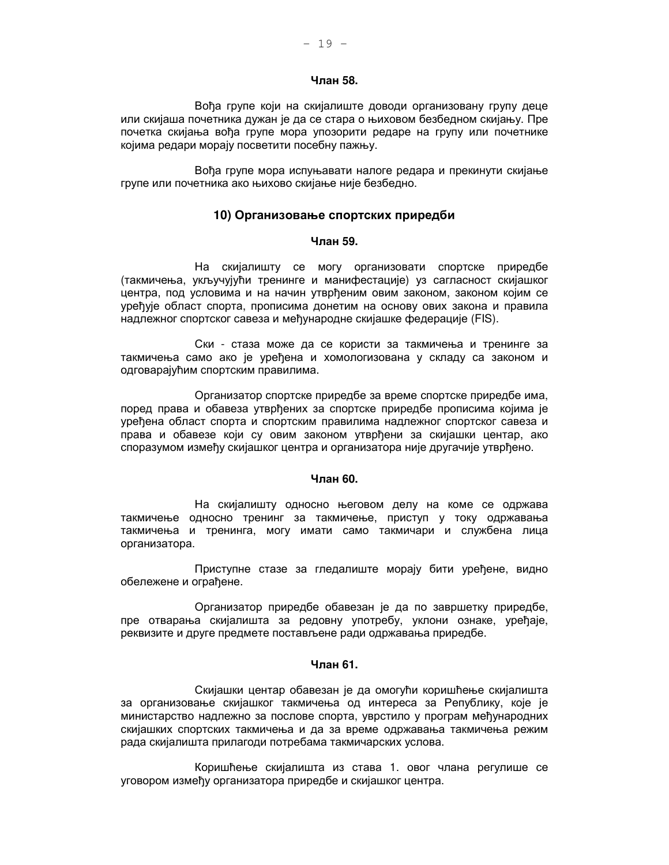## Члан 58.

Вођа групе који на скијалиште доводи организовану групу деце или скијаша почетника дужан је да се стара о њиховом безбедном скијању. Пре почетка скијања вођа групе мора упозорити редаре на групу или почетнике којима редари морају посветити посебну пажњу.

Вођа групе мора испуњавати налоге редара и прекинути скијање групе или почетника ако њихово скијање није безбедно.

## 10) Организовање спортских приредби

### Члан 59.

На скијалишту се могу организовати спортске приредбе (такмичења, укључујући тренинге и манифестације) уз сагласност скијашког центра, под условима и на начин утврђеним овим законом, законом којим се уређује област спорта, прописима донетим на основу ових закона и правила надлежног спортског савеза и међународне скијашке федерације (FIS).

Ски - стаза може да се користи за такмичења и тренинге за такмичења само ако је уређена и хомологизована у складу са законом и одговарајућим спортским правилима.

Организатор спортске приредбе за време спортске приредбе има, поред права и обавеза утврђених за спортске приредбе прописима којима је уређена област спорта и спортским правилима надлежног спортског савеза и права и обавезе који су овим законом утврђени за скијашки центар, ако споразумом између скијашког центра и организатора није другачије утврђено.

#### Члан 60.

На скијалишту односно његовом делу на коме се одржава такмичење односно тренинг за такмичење, приступ у току одржавања такмичења и тренинга, могу имати само такмичари и службена лица организатора.

Приступне стазе за гледалиште морају бити уређене, видно обележене и ограђене.

Организатор приредбе обавезан је да по завршетку приредбе, пре отварања скијалишта за редовну употребу, уклони ознаке, уређаје, реквизите и друге предмете постављене ради одржавања приредбе.

## **Чпан 61**

Скијашки центар обавезан је да омогући коришћење скијалишта за организовање скијашког такмичења од интереса за Републику, које је министарство надлежно за послове спорта, уврстило у програм међународних скијашких спортских такмичења и да за време одржавања такмичења режим рада скијалишта прилагоди потребама такмичарских услова.

Коришћење скијалишта из става 1. овог члана регулише се уговором између организатора приредбе и скијашког центра.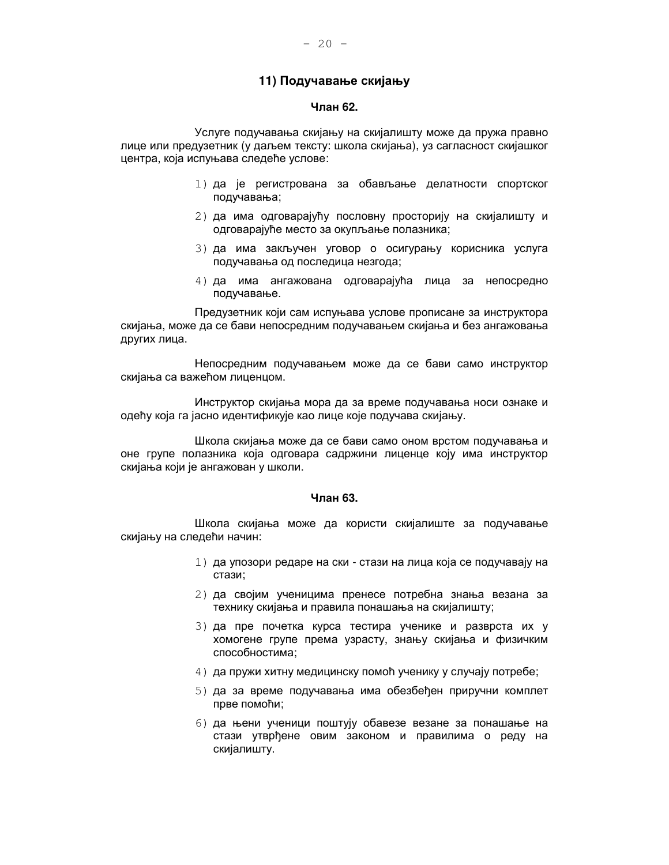## 11) Подучавање скијању

## Члан 62.

Услуге подучавања скијању на скијалишту може да пружа правно лице или предузетник (у даљем тексту: школа скијања), уз сагласност скијашког центра, која испуњава следеће услове:

- 1) да је регистрована за обављање делатности спортског подучавања;
- 2) да има одговарајућу пословну просторију на скијалишту и одговарајуће место за окупљање полазника;
- 3) да има закључен уговор о осигурању корисника услуга подучавања од последица незгода;
- 4) да има ангажована одговарајућа лица за непосредно подучавање.

Предузетник који сам испуњава услове прописане за инструктора скијања, може да се бави непосредним подучавањем скијања и без ангажовања других лица.

Непосредним подучавањем може да се бави само инструктор скијања са важећом лиценцом.

Инструктор скијања мора да за време подучавања носи ознаке и одећу која га јасно идентификује као лице које подучава скијању.

Школа скијања може да се бави само оном врстом подучавања и оне групе полазника која одговара садржини лиценце коју има инструктор скијања који је ангажован у школи.

#### Члан 63.

Школа скијања може да користи скијалиште за подучавање скијању на следећи начин:

- 1) да упозори редаре на ски стази на лица која се подучавају на стази;
- 2) да својим ученицима пренесе потребна знања везана за технику скијања и правила понашања на скијалишту;
- 3) да пре почетка курса тестира ученике и разврста их у хомогене групе према узрасту, знању скијања и физичким способностима:
- 4) да пружи хитну медицинску помоћ ученику у случају потребе;
- 5) да за време подучавања има обезбеђен приручни комплет прве помоћи;
- 6) да њени ученици поштују обавезе везане за понашање на стази утврђене овим законом и правилима о реду на скијалишту.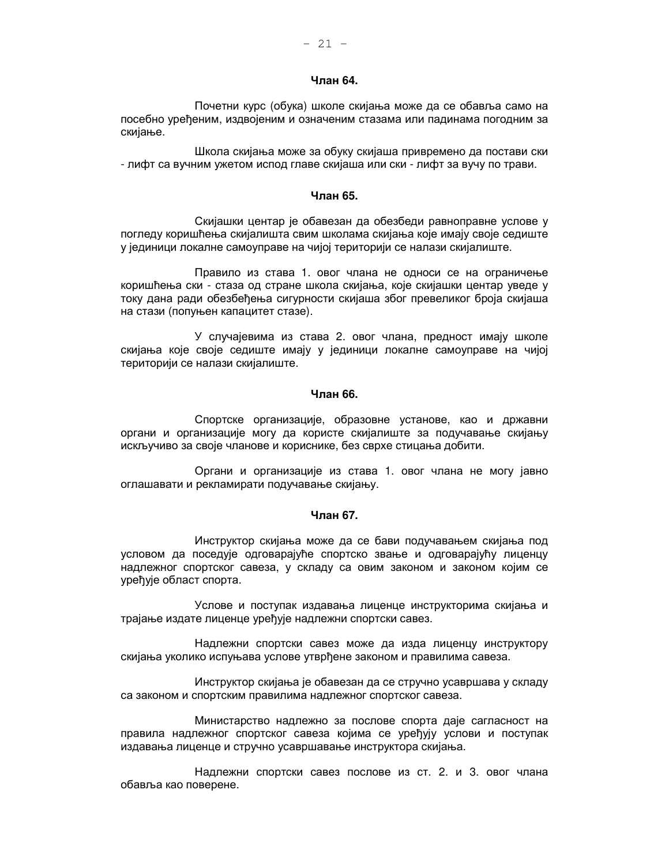## Члан 64.

Почетни курс (обука) школе скијања може да се обавља само на посебно уређеним, издвојеним и означеним стазама или падинама погодним за скијање.

Школа скијања може за обуку скијаша привремено да постави ски - лифт са вучним ужетом испод главе скијаша или ски - лифт за вучу по трави.

#### Члан 65.

Скијашки центар је обавезан да обезбеди равноправне услове у погледу коришћења скијалишта свим школама скијања које имају своје седиште у јединици локалне самоуправе на чијој територији се налази скијалиште.

Правило из става 1. овог члана не односи се на ограничење коришћења ски - стаза од стране школа скијања, које скијашки центар уведе у току дана ради обезбеђења сигурности скијаша због превеликог броја скијаша на стази (попуњен капацитет стазе).

У случајевима из става 2. овог члана, предност имају школе скијања које своје седиште имају у јединици локалне самоуправе на чијој територији се налази скијалиште.

## Члан 66.

Спортске организације, образовне установе, као и државни органи и организације могу да користе скијалиште за подучавање скијању искључиво за своје чланове и кориснике, без сврхе стицања добити.

Органи и организације из става 1. овог члана не могу јавно оглашавати и рекламирати подучавање скијању.

#### Члан 67.

Инструктор скијања може да се бави подучавањем скијања под условом да поседује одговарајуће спортско звање и одговарајућу лиценцу надлежног спортског савеза, у складу са овим законом и законом којим се уређује област спорта.

Услове и поступак издавања лиценце инструкторима скијања и трајање издате лиценце уређује надлежни спортски савез.

Надлежни спортски савез може да изда лиценцу инструктору скијања уколико испуњава услове утврђене законом и правилима савеза.

Инструктор скијања је обавезан да се стручно усавршава у складу са законом и спортским правилима надлежног спортског савеза.

Министарство надлежно за послове спорта даје сагласност на правила надлежног спортског савеза којима се уређују услови и поступак издавања лиценце и стручно усавршавање инструктора скијања.

Надлежни спортски савез послове из ст. 2. и 3. овог члана обавља као поверене.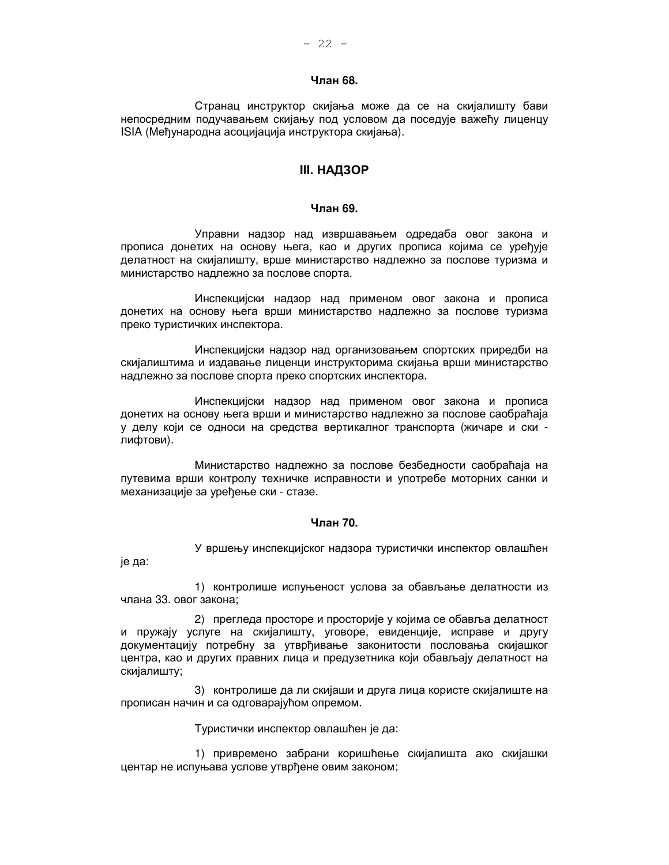## Члан 68.

Странац инструктор скијања може да се на скијалишту бави непосредним подучавањем скијању под условом да поседује важећу лиценцу ISIA (Међународна асоцијација инструктора скијања).

## **III. НАДЗОР**

#### Члан 69.

Управни надзор над извршавањем одредаба овог закона и прописа донетих на основу њега, као и других прописа којима се уређује делатност на скијалишту, врше министарство надлежно за послове туризма и министарство надлежно за послове спорта.

Инспекцијски надзор над применом овог закона и прописа донетих на основу њега врши министарство надлежно за послове туризма преко туристичких инспектора.

Инспекцијски надзор над организовањем спортских приредби на скијалиштима и издавање лиценци инструкторима скијања врши министарство надлежно за послове спорта преко спортских инспектора.

Инспекцијски надзор над применом овог закона и прописа донетих на основу њега врши и министарство надлежно за послове саобраћаја у делу који се односи на средства вертикалног транспорта (жичаре и ски лифтови).

Министарство надлежно за послове безбедности саобраћаја на путевима врши контролу техничке исправности и употребе моторних санки и механизације за уређење ски - стазе.

## Члан 70.

У вршењу инспекцијског надзора туристички инспектор овлашћен је да:

1) контролише испуњеност услова за обављање делатности из члана 33. овог закона:

2) прегледа просторе и просторије у којима се обавља делатност и пружају услуге на скијалишту, уговоре, евиденције, исправе и другу документацију потребну за утврђивање законитости пословања скијашког центра, као и других правних лица и предузетника који обављају делатност на скијалишту;

3) контролише да ли скијаши и друга лица користе скијалиште на прописан начин и са одговарајућом опремом.

Туристички инспектор овлашћен је да:

1) привремено забрани коришћење скијалишта ако скијашки центар не испуњава услове утврђене овим законом;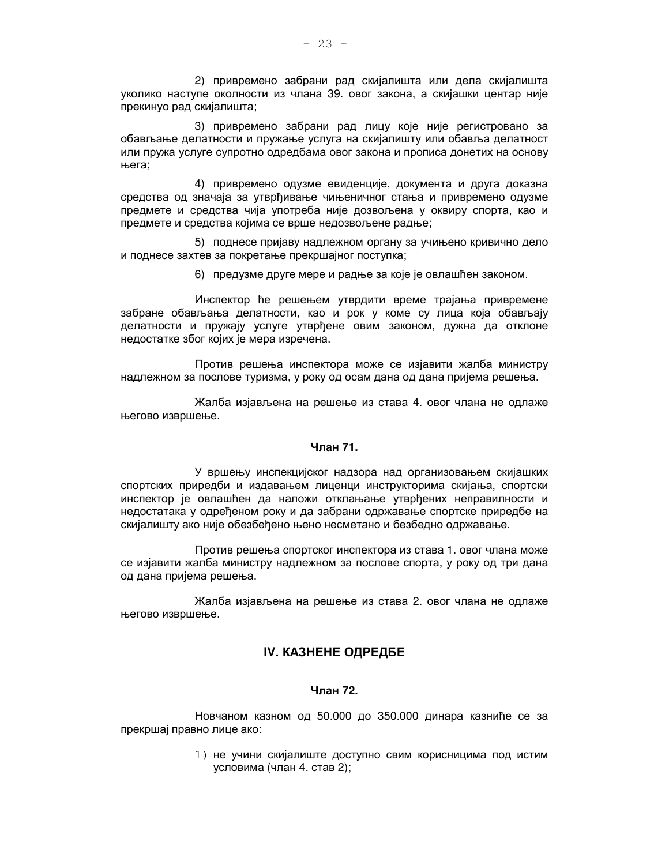2) привремено забрани рад скијалишта или дела скијалишта уколико наступе околности из члана 39. овог закона, а скијашки центар није прекинуо рад скијалишта;

3) привремено забрани рад лицу које није регистровано за обављање делатности и пружање услуга на скијалишту или обавља делатност или пружа услуге супротно одредбама овог закона и прописа донетих на основу њега:

4) привремено одузме евиденције, документа и друга доказна средства од значаја за утврђивање чињеничног стања и привремено одузме предмете и средства чија употреба није дозвољена у оквиру спорта, као и предмете и средства којима се врше недозвољене радње;

5) поднесе пријаву надлежном органу за учињено кривично дело и поднесе захтев за покретање прекршајног поступка;

6) предузме друге мере и радње за које је овлашћен законом.

Инспектор ће решењем утврдити време трајања привремене забране обављања делатности, као и рок у коме су лица која обављају делатности и пружају услуге утврђене овим законом, дужна да отклоне недостатке због којих је мера изречена.

Против решења инспектора може се изјавити жалба министру надлежном за послове туризма, у року од осам дана од дана пријема решења.

Жалба изјављена на решење из става 4. овог члана не одлаже његово извршење.

## Члан 71.

У вршењу инспекцијског надзора над организовањем скијашких спортских приредби и издавањем лиценци инструкторима скијања, спортски инспектор је овлашћен да наложи отклањање утврђених неправилности и недостатака у одређеном року и да забрани одржавање спортске приредбе на скијалишту ако није обезбеђено њено несметано и безбедно одржавање.

Против решења спортског инспектора из става 1. овог члана може се изјавити жалба министру надлежном за послове спорта, у року од три дана од дана пријема решења.

Жалба изјављена на решење из става 2. овог члана не одлаже његово извршење.

# **IV. КАЗНЕНЕ ОДРЕДБЕ**

## Чпан 72

Новчаном казном од 50.000 до 350.000 динара казниће се за прекршај правно лице ако:

> 1) не учини скијалиште доступно свим корисницима под истим условима (члан 4. став 2);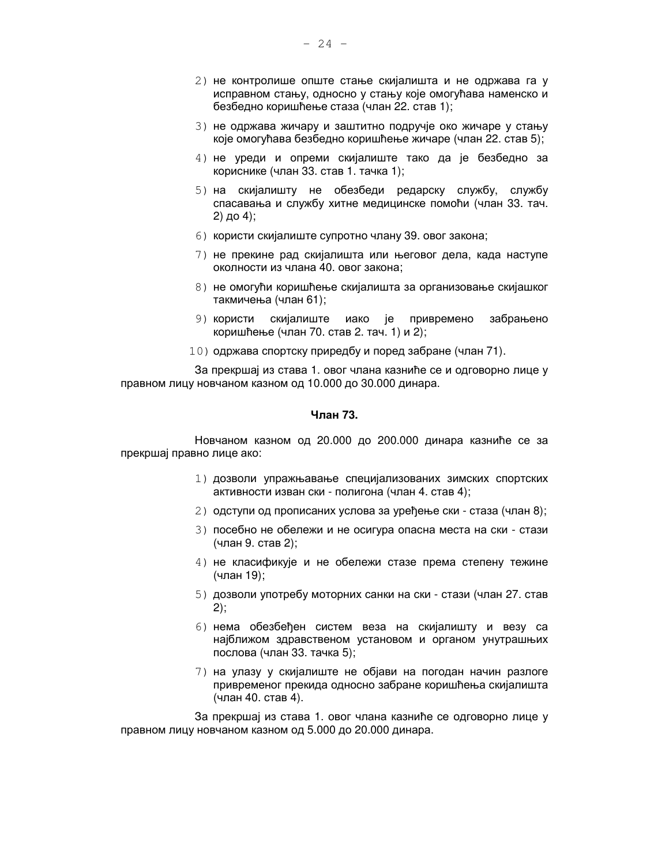- 2) не контролише опште стање скијалишта и не одржава га у исправном стању, односно у стању које омогућава наменско и безбедно коришћење стаза (члан 22. став 1);
- 3) не одржава жичару и заштитно подручје око жичаре у стању које омогућава безбедно коришћење жичаре (члан 22. став 5);
- 4) не уреди и опреми скијалиште тако да је безбедно за кориснике (члан 33. став 1. тачка 1);
- 5) на скијалишту не обезбеди редарску службу, службу спасавања и службу хитне медицинске помоћи (члан 33. тач. 2) до 4);
- 6) користи скијалиште супротно члану 39. овог закона;
- 7) не прекине рад скијалишта или његовог дела, када наступе околности из члана 40. овог закона;
- 8) не омогући коришћење скијалишта за организовање скијашког такмичења (члан 61);
- 9) користи скијалиште иако је привремено забрањено коришћење (члан 70. став 2. тач. 1) и 2);
- 10) одржава спортску приредбу и поред забране (члан 71).

За прекршај из става 1. овог члана казниће се и одговорно лице у правном лицу новчаном казном од 10.000 до 30.000 динара.

## Члан 73.

Новчаном казном од 20.000 до 200.000 динара казниће се за прекршај правно лице ако:

- 1) дозволи упражњавање специјализованих зимских спортских активности изван ски - полигона (члан 4. став 4);
- 2) одступи од прописаних услова за уређење ски стаза (члан 8);
- 3) посебно не обележи и не осигура опасна места на ски стази (члан 9. став 2);
- 4) не класификује и не обележи стазе према степену тежине (члан 19);
- 5) дозволи употребу моторних санки на ски стази (члан 27. став  $2)$ ;
- 6) нема обезбеђен систем веза на скијалишту и везу са најближом здравственом установом и органом унутрашњих послова (члан 33. тачка 5);
- 7) на улазу у скијалиште не објави на погодан начин разлоге привременог прекида односно забране коришћења скијалишта (члан 40. став 4).

За прекршај из става 1. овог члана казниће се одговорно лице у правном лицу новчаном казном од 5.000 до 20.000 динара.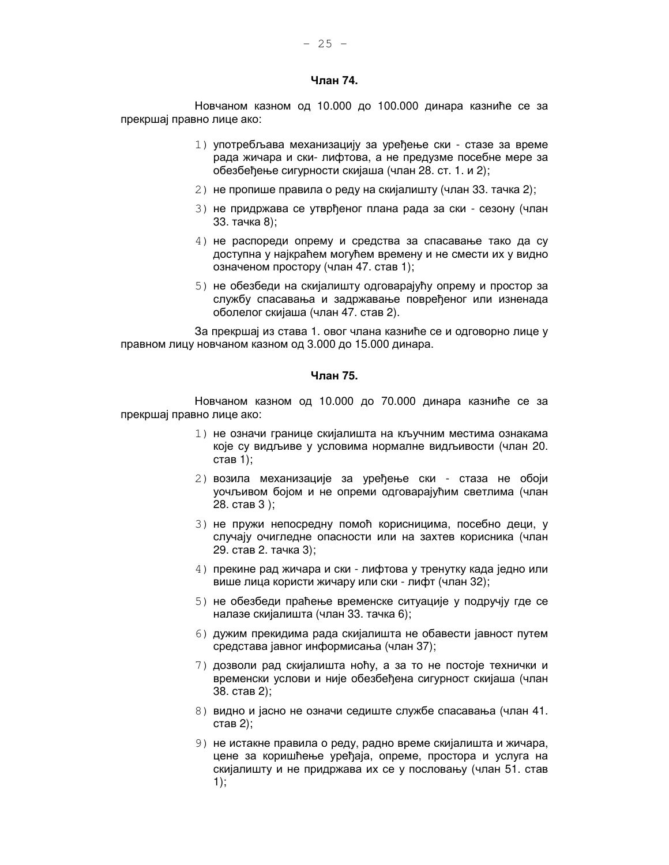## Члан 74.

Новчаном казном од 10.000 до 100.000 динара казниће се за прекршај правно лице ако:

- 1) употребљава механизацију за уређење ски стазе за време рада жичара и ски-лифтова, а не предузме посебне мере за обезбеђење сигурности скијаша (члан 28. ст. 1. и 2);
- 2) не пропише правила о реду на скијалишту (члан 33. тачка 2);
- 3) не придржава се утврђеног плана рада за ски сезону (члан 33. тачка 8);
- 4) не распореди опрему и средства за спасавање тако да су доступна у најкраћем могућем времену и не смести их у видно означеном простору (члан 47. став 1);
- 5) не обезбеди на скијалишту одговарајућу опрему и простор за службу спасавања и задржавање повређеног или изненада оболелог скијаша (члан 47. став 2).

За прекршај из става 1. овог члана казниће се и одговорно лице у правном лицу новчаном казном од 3.000 до 15.000 динара.

## Чпан 75.

Новчаном казном од 10.000 до 70.000 динара казниће се за прекршај правно лице ако:

- 1) не означи границе скијалишта на кључним местима ознакама које су видљиве у условима нормалне видљивости (члан 20. став 1);
- 2) возила механизације за уређење ски стаза не обоји уочљивом бојом и не опреми одговарајућим светлима (члан 28. став 3);
- 3) не пружи непосредну помоћ корисницима, посебно деци, у случају очигледне опасности или на захтев корисника (члан 29. став 2. тачка 3);
- 4) прекине рад жичара и ски лифтова у тренутку када једно или више лица користи жичару или ски - лифт (члан 32);
- 5) не обезбеди праћење временске ситуације у подручју где се налазе скијалишта (члан 33. тачка 6);
- 6) дужим прекидима рада скијалишта не обавести јавност путем средстава јавног информисања (члан 37);
- 7) дозволи рад скијалишта ноћу, а за то не постоје технички и временски услови и није обезбеђена сигурност скијаша (члан 38. став 2);
- 8) видно и јасно не означи седиште службе спасавања (члан 41. став 2):
- 9) не истакне правила о реду, радно време скијалишта и жичара, цене за коришћење уређаја, опреме, простора и услуга на скијалишту и не придржава их се у пословању (члан 51. став  $1);$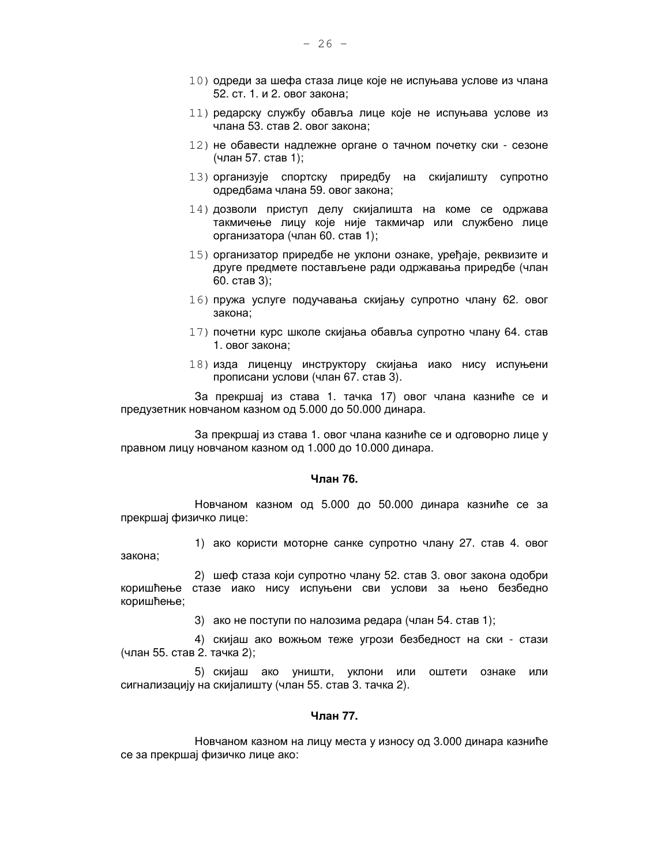- 10) одреди за шефа стаза лице које не испуњава услове из члана 52. ст. 1. и 2. овог закона;
- 11) редарску службу обавља лице које не испуњава услове из члана 53. став 2. овог закона;
- 12) не обавести надлежне органе о тачном почетку ски сезоне (члан 57. став 1);
- 13) организује спортску приредбу на скијалишту супротно одредбама члана 59. овог закона;
- 14) дозволи приступ делу скијалишта на коме се одржава такмичење лицу које није такмичар или службено лице организатора (члан 60. став 1);
- 15) организатор приредбе не уклони ознаке, уређаје, реквизите и друге предмете постављене ради одржавања приредбе (члан 60. став 3):
- 16) пружа услуге подучавања скијању супротно члану 62. овог закона;
- 17) почетни курс школе скијања обавља супротно члану 64. став 1. овог закона;
- 18) изда лиценцу инструктору скијања иако нису испуњени прописани услови (члан 67. став 3).

За прекршај из става 1. тачка 17) овог члана казниће се и предузетник новчаном казном од 5.000 до 50.000 динара.

За прекршај из става 1. овог члана казниће се и одговорно лице у правном лицу новчаном казном од 1.000 до 10.000 динара.

#### Члан 76.

Новчаном казном од 5.000 до 50.000 динара казниће се за прекршај физичко лице:

1) ако користи моторне санке супротно члану 27. став 4. овог закона:

2) шеф стаза који супротно члану 52. став 3. овог закона одобри коришћење стазе иако нису испуњени сви услови за њено безбедно коришћење;

3) ако не поступи по налозима редара (члан 54. став 1);

4) скијаш ако вожњом теже угрози безбедност на ски - стази (члан 55. став 2. тачка 2);

5) скијаш ако уништи, уклони или оштети ознаке или сигнализацију на скијалишту (члан 55. став 3. тачка 2).

## Члан 77.

Новчаном казном на лицу места у износу од 3.000 динара казниће се за прекршај физичко лице ако: